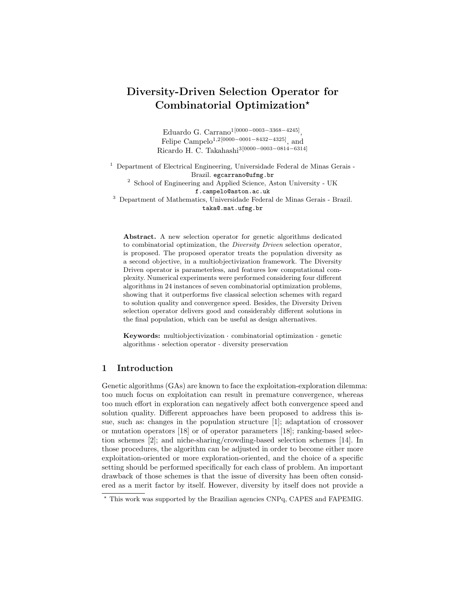# Diversity-Driven Selection Operator for Combinatorial Optimization?

Eduardo G. Carrano<sup>1[0000–0003–3368–4245]</sup>, Felipe Campelo<sup>1,2[0000–0001–8432–4325]</sup>, and Ricardo H. C. Takahashi3[0000−0003−0814−6314]

<sup>1</sup> Department of Electrical Engineering, Universidade Federal de Minas Gerais - Brazil. egcarrano@ufmg.br  $^2\,$  School of Engineering and Applied Science, Aston University - UK

f.campelo@aston.ac.uk

<sup>3</sup> Department of Mathematics, Universidade Federal de Minas Gerais - Brazil. taka@.mat.ufmg.br

Abstract. A new selection operator for genetic algorithms dedicated to combinatorial optimization, the Diversity Driven selection operator, is proposed. The proposed operator treats the population diversity as a second objective, in a multiobjectivization framework. The Diversity Driven operator is parameterless, and features low computational complexity. Numerical experiments were performed considering four different algorithms in 24 instances of seven combinatorial optimization problems, showing that it outperforms five classical selection schemes with regard to solution quality and convergence speed. Besides, the Diversity Driven selection operator delivers good and considerably different solutions in the final population, which can be useful as design alternatives.

the man population, which can be useful as design afternatives.<br>Keywords: multiobjectivization · combinatorial optimization · genetic **Keywords:** multiobjectivization · combinatorial optialgorithms · selection operator · diversity preservation

# 1 Introduction

Genetic algorithms  $(GAs)$  are known to face the exploitation-exploration dilemma: too much focus on exploitation can result in premature convergence, whereas too much effort in exploration can negatively affect both convergence speed and solution quality. Different approaches have been proposed to address this issue, such as: changes in the population structure [1]; adaptation of crossover or mutation operators [18] or of operator parameters [18]; ranking-based selection schemes [2]; and niche-sharing/crowding-based selection schemes [14]. In those procedures, the algorithm can be adjusted in order to become either more exploitation-oriented or more exploration-oriented, and the choice of a specific setting should be performed specifically for each class of problem. An important drawback of those schemes is that the issue of diversity has been often considered as a merit factor by itself. However, diversity by itself does not provide a

<sup>?</sup> This work was supported by the Brazilian agencies CNPq, CAPES and FAPEMIG.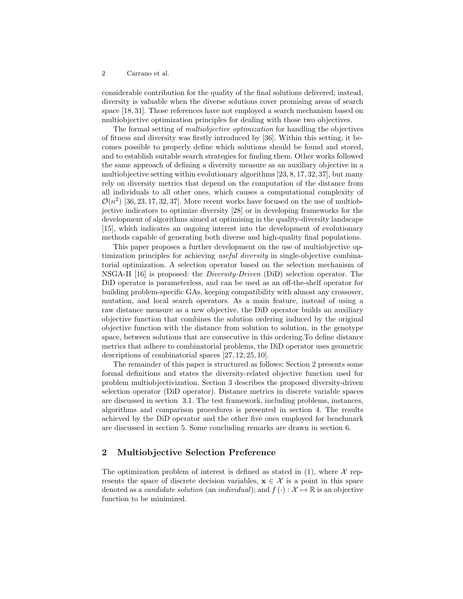considerable contribution for the quality of the final solutions delivered; instead, diversity is valuable when the diverse solutions cover promising areas of search space [18, 31]. Those references have not employed a search mechanism based on multiobjective optimization principles for dealing with those two objectives.

The formal setting of multiobjective optimization for handling the objectives of fitness and diversity was firstly introduced by [36]. Within this setting, it becomes possible to properly define which solutions should be found and stored, and to establish suitable search strategies for finding them. Other works followed the same approach of defining a diversity measure as an auxiliary objective in a multiobjective setting within evolutionary algorithms [23, 8, 17, 32, 37], but many rely on diversity metrics that depend on the computation of the distance from all individuals to all other ones, which causes a computational complexity of  $\mathcal{O}(n^2)$  [36, 23, 17, 32, 37]. More recent works have focused on the use of multiobjective indicators to optimize diversity [28] or in developing frameworks for the development of algorithms aimed at optimising in the quality-diversity landscape [15], which indicates an ongoing interest into the development of evolutionary methods capable of generating both diverse and high-quality final populations.

This paper proposes a further development on the use of multiobjective optimization principles for achieving *useful diversity* in single-objective combinatorial optimization. A selection operator based on the selection mechanism of NSGA-II [16] is proposed: the Diversity-Driven (DiD) selection operator. The DiD operator is parameterless, and can be used as an off-the-shelf operator for building problem-specific GAs, keeping compatibility with almost any crossover, mutation, and local search operators. As a main feature, instead of using a raw distance measure as a new objective, the DiD operator builds an auxiliary objective function that combines the solution ordering induced by the original objective function with the distance from solution to solution, in the genotype space, between solutions that are consecutive in this ordering.To define distance metrics that adhere to combinatorial problems, the DiD operator uses geometric descriptions of combinatorial spaces [27, 12, 25, 10].

The remainder of this paper is structured as follows: Section 2 presents some formal definitions and states the diversity-related objective function used for problem multiobjectivization. Section 3 describes the proposed diversity-driven selection operator (DiD operator). Distance metrics in discrete variable spaces are discussed in section 3.1. The test framework, including problems, instances, algorithms and comparison procedures is presented in section 4. The results achieved by the DiD operator and the other five ones employed for benchmark are discussed in section 5. Some concluding remarks are drawn in section 6.

## 2 Multiobjective Selection Preference

The optimization problem of interest is defined as stated in  $(1)$ , where X represents the space of discrete decision variables,  $x \in \mathcal{X}$  is a point in this space denoted as a *candidate solution* (an *individual*); and  $f(\cdot): \mathcal{X} \mapsto \mathbb{R}$  is an objective function to be minimized.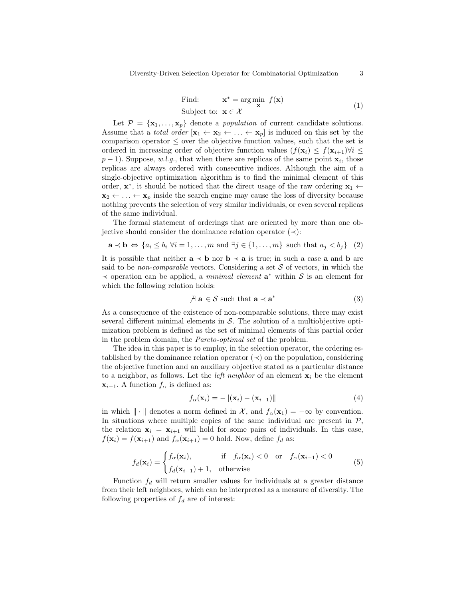Find: 
$$
\mathbf{x}^* = \arg\min_{\mathbf{x}} f(\mathbf{x})
$$
  
Subject to:  $\mathbf{x} \in \mathcal{X}$  (1)

Let  $\mathcal{P} = {\mathbf{x}_1, ..., \mathbf{x}_p}$  denote a *population* of current candidate solutions. Assume that a *total order*  $[\mathbf{x}_1 \leftarrow \mathbf{x}_2 \leftarrow \dots \leftarrow \mathbf{x}_p]$  is induced on this set by the comparison operator  $\leq$  over the objective function values, such that the set is ordered in increasing order of objective function values  $(f(\mathbf{x}_i) \leq f(\mathbf{x}_{i+1})\forall i \leq$  $p-1$ ). Suppose, w.l.g., that when there are replicas of the same point  $\mathbf{x}_i$ , those replicas are always ordered with consecutive indices. Although the aim of a single-objective optimization algorithm is to find the minimal element of this order,  $\mathbf{x}^*$ , it should be noticed that the direct usage of the raw ordering  $\mathbf{x}_1 \leftarrow$  $x_2 \leftarrow \ldots \leftarrow x_p$  inside the search engine may cause the loss of diversity because nothing prevents the selection of very similar individuals, or even several replicas of the same individual.

The formal statement of orderings that are oriented by more than one objective should consider the dominance relation operator  $(\prec)$ :

$$
\mathbf{a} \prec \mathbf{b} \Leftrightarrow \{a_i \le b_i \,\forall i = 1, \dots, m \text{ and } \exists j \in \{1, \dots, m\} \text{ such that } a_j < b_j\} \tag{2}
$$

It is possible that neither  $a \prec b$  nor  $b \prec a$  is true; in such a case a and b are said to be *non-comparable* vectors. Considering a set  $S$  of vectors, in which the  $\prec$  operation can be applied, a *minimal element*  $\mathbf{a}^*$  within S is an element for which the following relation holds:

$$
\mathcal{A} \mathbf{a} \in \mathcal{S} \text{ such that } \mathbf{a} \prec \mathbf{a}^* \tag{3}
$$

As a consequence of the existence of non-comparable solutions, there may exist several different minimal elements in  $S$ . The solution of a multiobjective optimization problem is defined as the set of minimal elements of this partial order in the problem domain, the Pareto-optimal set of the problem.

The idea in this paper is to employ, in the selection operator, the ordering established by the dominance relation operator  $(\prec)$  on the population, considering the objective function and an auxiliary objective stated as a particular distance to a neighbor, as follows. Let the *left neighbor* of an element  $x_i$  be the element  $\mathbf{x}_{i-1}$ . A function  $f_{\alpha}$  is defined as:

$$
f_{\alpha}(\mathbf{x}_i) = -\|(\mathbf{x}_i) - (\mathbf{x}_{i-1})\| \tag{4}
$$

in which  $\|\cdot\|$  denotes a norm defined in X, and  $f_{\alpha}(\mathbf{x}_1) = -\infty$  by convention. In situations where multiple copies of the same individual are present in  $P$ , the relation  $x_i = x_{i+1}$  will hold for some pairs of individuals. In this case,  $f(\mathbf{x}_i) = f(\mathbf{x}_{i+1})$  and  $f_\alpha(\mathbf{x}_{i+1}) = 0$  hold. Now, define  $f_d$  as:

$$
f_d(\mathbf{x}_i) = \begin{cases} f_\alpha(\mathbf{x}_i), & \text{if } f_\alpha(\mathbf{x}_i) < 0 \text{ or } f_\alpha(\mathbf{x}_{i-1}) < 0\\ f_d(\mathbf{x}_{i-1}) + 1, & \text{otherwise} \end{cases} \tag{5}
$$

Function  $f_d$  will return smaller values for individuals at a greater distance from their left neighbors, which can be interpreted as a measure of diversity. The following properties of  $f_d$  are of interest: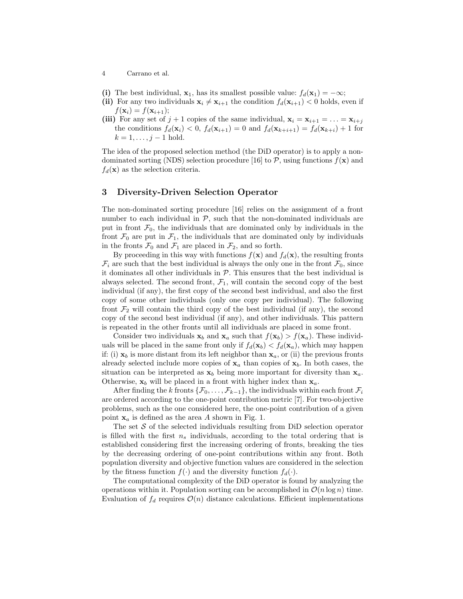- (i) The best individual,  $x_1$ , has its smallest possible value:  $f_d(x_1) = -\infty$ ;
- (ii) For any two individuals  $\mathbf{x}_i \neq \mathbf{x}_{i+1}$  the condition  $f_d(\mathbf{x}_{i+1}) < 0$  holds, even if  $f(\mathbf{x}_i) = f(\mathbf{x}_{i+1});$
- (iii) For any set of  $j + 1$  copies of the same individual,  $\mathbf{x}_i = \mathbf{x}_{i+1} = \ldots = \mathbf{x}_{i+j}$ the conditions  $f_d(\mathbf{x}_i) < 0$ ,  $f_d(\mathbf{x}_{i+1}) = 0$  and  $f_d(\mathbf{x}_{k+i+1}) = f_d(\mathbf{x}_{k+i}) + 1$  for  $k = 1, \ldots, j - 1$  hold.

The idea of the proposed selection method (the DiD operator) is to apply a nondominated sorting (NDS) selection procedure [16] to  $P$ , using functions  $f(\mathbf{x})$  and  $f_d(\mathbf{x})$  as the selection criteria.

## 3 Diversity-Driven Selection Operator

The non-dominated sorting procedure [16] relies on the assignment of a front number to each individual in  $P$ , such that the non-dominated individuals are put in front  $\mathcal{F}_0$ , the individuals that are dominated only by individuals in the front  $\mathcal{F}_0$  are put in  $\mathcal{F}_1$ , the individuals that are dominated only by individuals in the fronts  $\mathcal{F}_0$  and  $\mathcal{F}_1$  are placed in  $\mathcal{F}_2$ , and so forth.

By proceeding in this way with functions  $f(\mathbf{x})$  and  $f_d(\mathbf{x})$ , the resulting fronts  $\mathcal{F}_i$  are such that the best individual is always the only one in the front  $\mathcal{F}_0$ , since it dominates all other individuals in  $P$ . This ensures that the best individual is always selected. The second front,  $\mathcal{F}_1$ , will contain the second copy of the best individual (if any), the first copy of the second best individual, and also the first copy of some other individuals (only one copy per individual). The following front  $\mathcal{F}_2$  will contain the third copy of the best individual (if any), the second copy of the second best individual (if any), and other individuals. This pattern is repeated in the other fronts until all individuals are placed in some front.

Consider two individuals  $x_b$  and  $x_a$  such that  $f(x_b) > f(x_a)$ . These individuals will be placed in the same front only if  $f_d(\mathbf{x}_b) < f_d(\mathbf{x}_a)$ , which may happen if: (i)  $\mathbf{x}_b$  is more distant from its left neighbor than  $\mathbf{x}_a$ , or (ii) the previous fronts already selected include more copies of  $x_a$  than copies of  $x_b$ . In both cases, the situation can be interpreted as  $x_b$  being more important for diversity than  $x_a$ . Otherwise,  $x_b$  will be placed in a front with higher index than  $x_a$ .

After finding the k fronts  $\{\mathcal{F}_0, \ldots, \mathcal{F}_{k-1}\}$ , the individuals within each front  $\mathcal{F}_i$ are ordered according to the one-point contribution metric [7]. For two-objective problems, such as the one considered here, the one-point contribution of a given point  $x_a$  is defined as the area A shown in Fig. 1.

The set  $S$  of the selected individuals resulting from DiD selection operator is filled with the first  $n_s$  individuals, according to the total ordering that is established considering first the increasing ordering of fronts, breaking the ties by the decreasing ordering of one-point contributions within any front. Both population diversity and objective function values are considered in the selection by the fitness function  $f(\cdot)$  and the diversity function  $f_d(\cdot)$ .

The computational complexity of the DiD operator is found by analyzing the operations within it. Population sorting can be accomplished in  $\mathcal{O}(n \log n)$  time. Evaluation of  $f_d$  requires  $\mathcal{O}(n)$  distance calculations. Efficient implementations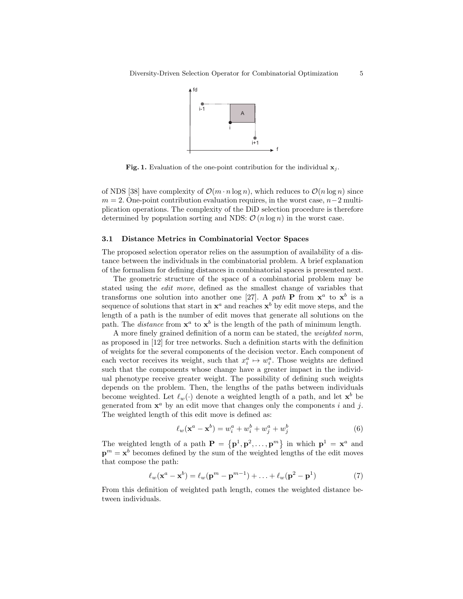

Fig. 1. Evaluation of the one-point contribution for the individual  $x_i$ .

of NDS [38] have complexity of  $\mathcal{O}(m \cdot n \log n)$ , which reduces to  $\mathcal{O}(n \log n)$  since  $m = 2$ . One-point contribution evaluation requires, in the worst case,  $n-2$  multiplication operations. The complexity of the DiD selection procedure is therefore determined by population sorting and NDS:  $\mathcal{O}(n \log n)$  in the worst case.

#### 3.1 Distance Metrics in Combinatorial Vector Spaces

The proposed selection operator relies on the assumption of availability of a distance between the individuals in the combinatorial problem. A brief explanation of the formalism for defining distances in combinatorial spaces is presented next.

The geometric structure of the space of a combinatorial problem may be stated using the edit move, defined as the smallest change of variables that transforms one solution into another one [27]. A path **P** from  $x^a$  to  $x^b$  is a sequence of solutions that start in  $x^a$  and reaches  $x^b$  by edit move steps, and the length of a path is the number of edit moves that generate all solutions on the path. The *distance* from  $x^a$  to  $x^b$  is the length of the path of minimum length.

A more finely grained definition of a norm can be stated, the weighted norm, as proposed in [12] for tree networks. Such a definition starts with the definition of weights for the several components of the decision vector. Each component of each vector receives its weight, such that  $x_i^a \mapsto w_i^a$ . Those weights are defined such that the components whose change have a greater impact in the individual phenotype receive greater weight. The possibility of defining such weights depends on the problem. Then, the lengths of the paths between individuals become weighted. Let  $\ell_w(\cdot)$  denote a weighted length of a path, and let  $\mathbf{x}^b$  be generated from  $x^a$  by an edit move that changes only the components i and j. The weighted length of this edit move is defined as:

$$
\ell_w(\mathbf{x}^a - \mathbf{x}^b) = w_i^a + w_i^b + w_j^a + w_j^b \tag{6}
$$

The weighted length of a path  $\mathbf{P} = \{p^1, p^2, \dots, p^m\}$  in which  $p^1 = \mathbf{x}^a$  and  $\mathbf{p}^m = \mathbf{x}^b$  becomes defined by the sum of the weighted lengths of the edit moves that compose the path:

$$
\ell_w(\mathbf{x}^a - \mathbf{x}^b) = \ell_w(\mathbf{p}^m - \mathbf{p}^{m-1}) + \ldots + \ell_w(\mathbf{p}^2 - \mathbf{p}^1)
$$
 (7)

From this definition of weighted path length, comes the weighted distance between individuals.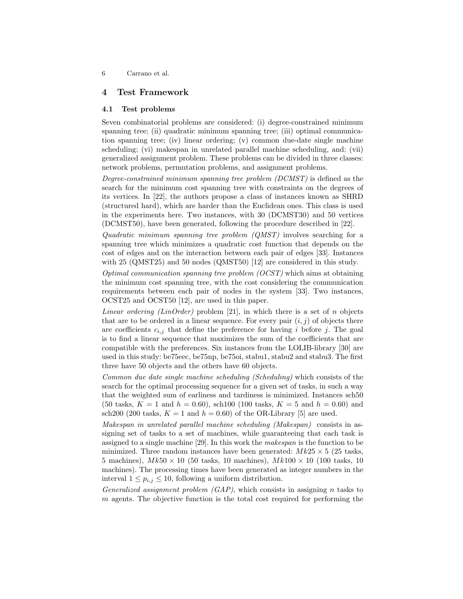## 4 Test Framework

## 4.1 Test problems

Seven combinatorial problems are considered: (i) degree-constrained minimum spanning tree; (ii) quadratic minimum spanning tree; (iii) optimal communication spanning tree; (iv) linear ordering; (v) common due-date single machine scheduling; (vi) makespan in unrelated parallel machine scheduling, and; (vii) generalized assignment problem. These problems can be divided in three classes: network problems, permutation problems, and assignment problems.

Degree-constrained minimum spanning tree problem (DCMST) is defined as the search for the minimum cost spanning tree with constraints on the degrees of its vertices. In [22], the authors propose a class of instances known as SHRD (structured hard), which are harder than the Euclidean ones. This class is used in the experiments here. Two instances, with 30 (DCMST30) and 50 vertices (DCMST50), have been generated, following the procedure described in [22].

Quadratic minimum spanning tree problem  $(QMST)$  involves searching for a spanning tree which minimizes a quadratic cost function that depends on the cost of edges and on the interaction between each pair of edges [33]. Instances with 25 (QMST25) and 50 nodes (QMST50) [12] are considered in this study.

Optimal communication spanning tree problem  $(OCST)$  which aims at obtaining the minimum cost spanning tree, with the cost considering the communication requirements between each pair of nodes in the system [33]. Two instances, OCST25 and OCST50 [12], are used in this paper.

*Linear ordering (LinOrder)* problem [21], in which there is a set of n objects that are to be ordered in a linear sequence. For every pair  $(i, j)$  of objects there are coefficients  $c_{i,j}$  that define the preference for having i before j. The goal is to find a linear sequence that maximizes the sum of the coefficients that are compatible with the preferences. Six instances from the LOLIB-library [30] are used in this study: be75eec, be75np, be75oi, stabu1, stabu2 and stabu3. The first three have 50 objects and the others have 60 objects.

Common due date single machine scheduling (Scheduling) which consists of the search for the optimal processing sequence for a given set of tasks, in such a way that the weighted sum of earliness and tardiness is minimized. Instances sch50 (50 tasks,  $K = 1$  and  $h = 0.60$ ), sch100 (100 tasks,  $K = 5$  and  $h = 0.60$ ) and sch200 (200 tasks,  $K = 1$  and  $h = 0.60$ ) of the OR-Library [5] are used.

Makespan in unrelated parallel machine scheduling (Makespan) consists in assigning set of tasks to a set of machines, while guaranteeing that each task is assigned to a single machine [29]. In this work the makespan is the function to be minimized. Three random instances have been generated:  $Mk25 \times 5$  (25 tasks, 5 machines),  $Mk50 \times 10$  (50 tasks, 10 machines),  $Mk100 \times 10$  (100 tasks, 10 machines). The processing times have been generated as integer numbers in the interval  $1 \leq p_{i,j} \leq 10$ , following a uniform distribution.

Generalized assignment problem  $(GAP)$ , which consists in assigning n tasks to m agents. The objective function is the total cost required for performing the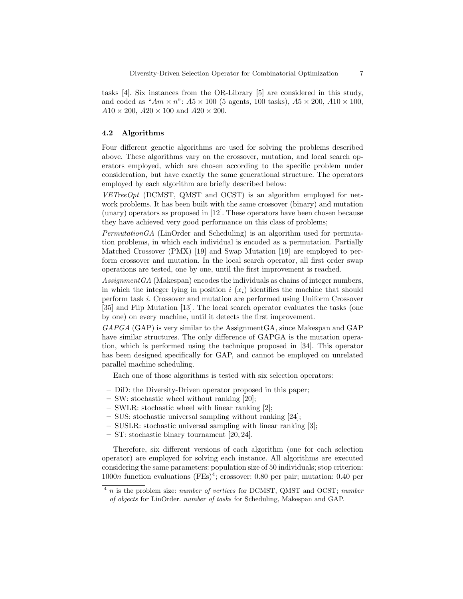tasks [4]. Six instances from the OR-Library [5] are considered in this study, and coded as " $Am \times n$ ":  $A5 \times 100$  (5 agents, 100 tasks),  $A5 \times 200$ ,  $A10 \times 100$ ,  $A10 \times 200$ ,  $A20 \times 100$  and  $A20 \times 200$ .

## 4.2 Algorithms

Four different genetic algorithms are used for solving the problems described above. These algorithms vary on the crossover, mutation, and local search operators employed, which are chosen according to the specific problem under consideration, but have exactly the same generational structure. The operators employed by each algorithm are briefly described below:

 $VETreeOpt$  (DCMST, QMST and OCST) is an algorithm employed for network problems. It has been built with the same crossover (binary) and mutation (unary) operators as proposed in [12]. These operators have been chosen because they have achieved very good performance on this class of problems;

 $PermutationGA$  (LinOrder and Scheduling) is an algorithm used for permutation problems, in which each individual is encoded as a permutation. Partially Matched Crossover (PMX) [19] and Swap Mutation [19] are employed to perform crossover and mutation. In the local search operator, all first order swap operations are tested, one by one, until the first improvement is reached.

Assignment GA (Makespan) encodes the individuals as chains of integer numbers, in which the integer lying in position i  $(x_i)$  identifies the machine that should perform task i. Crossover and mutation are performed using Uniform Crossover [35] and Flip Mutation [13]. The local search operator evaluates the tasks (one by one) on every machine, until it detects the first improvement.

GAPGA (GAP) is very similar to the AssignmentGA, since Makespan and GAP have similar structures. The only difference of GAPGA is the mutation operation, which is performed using the technique proposed in [34]. This operator has been designed specifically for GAP, and cannot be employed on unrelated parallel machine scheduling.

Each one of those algorithms is tested with six selection operators:

- DiD: the Diversity-Driven operator proposed in this paper;
- SW: stochastic wheel without ranking [20];
- SWLR: stochastic wheel with linear ranking [2];
- SUS: stochastic universal sampling without ranking [24];
- SUSLR: stochastic universal sampling with linear ranking [3];
- ST: stochastic binary tournament [20, 24].

Therefore, six different versions of each algorithm (one for each selection operator) are employed for solving each instance. All algorithms are executed considering the same parameters: population size of 50 individuals; stop criterion: 1000n function evaluations  $(FEs)^4$ ; crossover: 0.80 per pair; mutation: 0.40 per

 $^{4}$  n is the problem size: number of vertices for DCMST, QMST and OCST; number of objects for LinOrder. number of tasks for Scheduling, Makespan and GAP.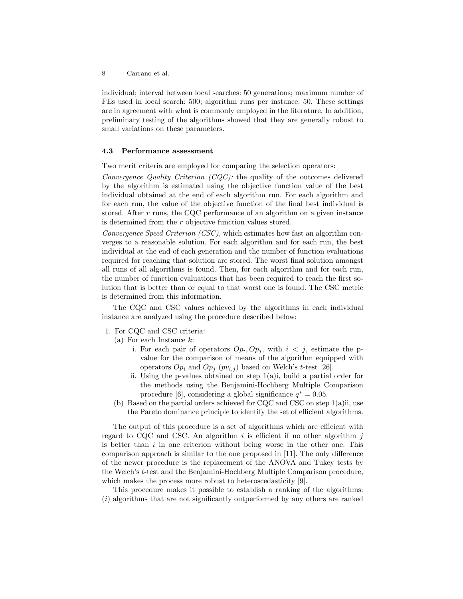individual; interval between local searches: 50 generations; maximum number of FEs used in local search: 500; algorithm runs per instance: 50. These settings are in agreement with what is commonly employed in the literature. In addition, preliminary testing of the algorithms showed that they are generally robust to small variations on these parameters.

#### 4.3 Performance assessment

Two merit criteria are employed for comparing the selection operators:

Convergence Quality Criterion (CQC): the quality of the outcomes delivered by the algorithm is estimated using the objective function value of the best individual obtained at the end of each algorithm run. For each algorithm and for each run, the value of the objective function of the final best individual is stored. After r runs, the CQC performance of an algorithm on a given instance is determined from the r objective function values stored.

Convergence Speed Criterion (CSC), which estimates how fast an algorithm converges to a reasonable solution. For each algorithm and for each run, the best individual at the end of each generation and the number of function evaluations required for reaching that solution are stored. The worst final solution amongst all runs of all algorithms is found. Then, for each algorithm and for each run, the number of function evaluations that has been required to reach the first solution that is better than or equal to that worst one is found. The CSC metric is determined from this information.

The CQC and CSC values achieved by the algorithms in each individual instance are analyzed using the procedure described below:

- 1. For CQC and CSC criteria:
	- (a) For each Instance  $k$ :
		- i. For each pair of operators  $Op_i, Op_j$ , with  $i < j$ , estimate the pvalue for the comparison of means of the algorithm equipped with operators  $Op_i$  and  $Op_j$   $(pv_{i,j})$  based on Welch's t-test [26].
		- ii. Using the p-values obtained on step  $1(a)$ ; build a partial order for the methods using the Benjamini-Hochberg Multiple Comparison procedure [6], considering a global significance  $q^* = 0.05$ .
	- (b) Based on the partial orders achieved for CQC and CSC on step 1(a)ii, use the Pareto dominance principle to identify the set of efficient algorithms.

The output of this procedure is a set of algorithms which are efficient with regard to CQC and CSC. An algorithm  $i$  is efficient if no other algorithm  $j$ is better than  $i$  in one criterion without being worse in the other one. This comparison approach is similar to the one proposed in [11]. The only difference of the newer procedure is the replacement of the ANOVA and Tukey tests by the Welch's t-test and the Benjamini-Hochberg Multiple Comparison procedure, which makes the process more robust to heteroscedasticity [9].

This procedure makes it possible to establish a ranking of the algorithms: (i) algorithms that are not significantly outperformed by any others are ranked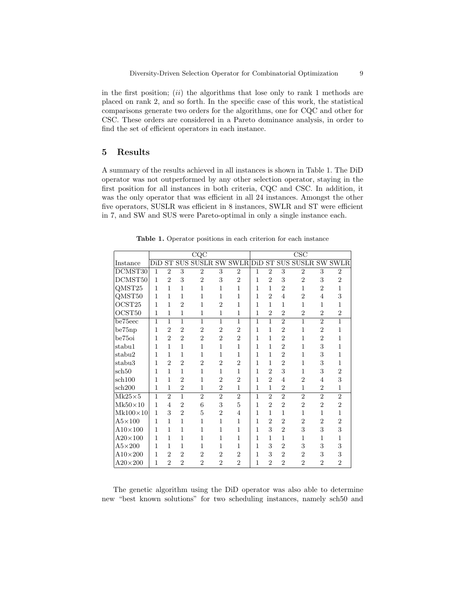in the first position;  $(ii)$  the algorithms that lose only to rank 1 methods are placed on rank 2, and so forth. In the specific case of this work, the statistical comparisons generate two orders for the algorithms, one for CQC and other for CSC. These orders are considered in a Pareto dominance analysis, in order to find the set of efficient operators in each instance.

## 5 Results

A summary of the results achieved in all instances is shown in Table 1. The DiD operator was not outperformed by any other selection operator, staying in the first position for all instances in both criteria, CQC and CSC. In addition, it was the only operator that was efficient in all 24 instances. Amongst the other five operators, SUSLR was efficient in 8 instances, SWLR and ST were efficient in 7, and SW and SUS were Pareto-optimal in only a single instance each.

|                    | CQC          |                |                |                        |                |                | $\overline{\mathrm{CSC}}$ |                |                |                             |                |                |
|--------------------|--------------|----------------|----------------|------------------------|----------------|----------------|---------------------------|----------------|----------------|-----------------------------|----------------|----------------|
| Instance           | DiD          |                |                | <b>ST SUS SUSLR SW</b> |                | <b>SWLR</b>    | $\overline{\mathrm{DiD}}$ |                |                | <b>ST SUS SUSLR SW SWLR</b> |                |                |
| DCMST30            | 1            | $\overline{2}$ | 3              | $\overline{2}$         | 3              | $\overline{2}$ | 1                         | $\overline{2}$ | 3              | $\overline{2}$              | 3              | $\overline{2}$ |
| DCMST50            | $\mathbf{1}$ | $\overline{2}$ | 3              | $\overline{2}$         | 3              | $\overline{2}$ | 1                         | $\overline{2}$ | 3              | $\overline{2}$              | 3              | $\overline{2}$ |
| QMST <sub>25</sub> | 1            | 1              | $\mathbf{1}$   | $\overline{1}$         | $\mathbf 1$    | $\mathbf{1}$   | 1                         | 1              | $\overline{2}$ | $\mathbf{1}$                | $\overline{2}$ | $\overline{1}$ |
| QMST50             | 1            | $\mathbf{1}$   | $\mathbf{1}$   | 1                      | 1              | $\mathbf{1}$   | 1                         | $\overline{2}$ | $\overline{4}$ | $\overline{2}$              | $\overline{4}$ | 3              |
| OCST <sub>25</sub> | 1            | 1              | $\overline{2}$ | $\mathbf{1}$           | $\overline{2}$ | $\mathbf{1}$   | 1                         | 1              | $\mathbf{1}$   | $\mathbf{1}$                | $\mathbf{1}$   | $\mathbf{1}$   |
| OCST50             | 1            | 1              | $\mathbf{1}$   | $\mathbf{1}$           | $\mathbf{1}$   | $\mathbf{1}$   | 1                         | $\overline{2}$ | $\overline{2}$ | $\overline{2}$              | $\overline{2}$ | $\overline{2}$ |
| be75eec            | 1            | $\mathbf{1}$   | $\mathbf{1}$   | $\mathbf{1}$           | $\mathbf{1}$   | $\mathbf{1}$   | 1                         | $\overline{1}$ | $\overline{2}$ | $\overline{1}$              | $\overline{2}$ | $\overline{1}$ |
| be75np             | 1            | $\overline{2}$ | $\overline{2}$ | $\overline{2}$         | $\overline{2}$ | $\overline{2}$ | 1                         | 1              | $\overline{2}$ | $\mathbf{1}$                | $\overline{2}$ | $\mathbf{1}$   |
| be75oi             | 1            | $\overline{2}$ | $\overline{2}$ | $\overline{2}$         | $\overline{2}$ | $\overline{2}$ | 1                         | 1              | $\overline{2}$ | $\mathbf{1}$                | $\overline{2}$ | $\overline{1}$ |
| stabu1             | 1            | 1              | 1              | $\mathbf{1}$           | $\mathbf{1}$   | $\mathbf{1}$   | 1                         | 1              | $\overline{2}$ | $\mathbf{1}$                | 3              | $\overline{1}$ |
| stabu2             | 1            | 1              | 1              | 1                      | 1              | 1              | 1                         | 1              | $\overline{2}$ | $\mathbf{1}$                | 3              | 1              |
| stabu3             | 1            | $\overline{2}$ | $\overline{2}$ | $\overline{2}$         | $\overline{2}$ | $\overline{2}$ | 1                         | 1              | $\overline{2}$ | $\mathbf{1}$                | 3              | 1              |
| sch50              | 1            | $\mathbf{1}$   | $\mathbf{1}$   | $\mathbf{1}$           | $\mathbf{1}$   | $\mathbf{1}$   | 1                         | $\overline{2}$ | 3              | $\mathbf{1}$                | 3              | $\overline{2}$ |
| sch100             | 1            | $\mathbf{1}$   | $\overline{2}$ | $\mathbf{1}$           | $\overline{2}$ | $\overline{2}$ | 1                         | $\overline{2}$ | 4              | $\overline{2}$              | $\overline{4}$ | 3              |
| sch200             | 1            | 1              | $\overline{2}$ | $\mathbf{1}$           | $\overline{2}$ | $\mathbf{1}$   | 1                         | 1              | $\overline{2}$ | 1                           | $\overline{2}$ | 1              |
| $Mk25\times 5$     | 1            | $\overline{2}$ | $\mathbf{1}$   | $\overline{2}$         | $\overline{2}$ | $\overline{2}$ | 1                         | $\overline{2}$ | $\overline{2}$ | $\overline{2}$              | $\overline{2}$ | $\overline{2}$ |
| $Mk50\times10$     | 1            | 4              | $\overline{2}$ | 6                      | 3              | 5              | 1                         | $\overline{2}$ | $\overline{2}$ | $\overline{2}$              | $\overline{2}$ | $\overline{2}$ |
| $Mk100\times10$    | 1            | 3              | $\overline{2}$ | $\overline{5}$         | $\overline{2}$ | 4              | 1                         | 1              | 1              | $\mathbf{1}$                | $\mathbf{1}$   | $\overline{1}$ |
| $A5\times100$      | 1            | 1              | $\mathbf{1}$   | $\mathbf{1}$           | $\mathbf{1}$   | $\mathbf{1}$   | 1                         | $\overline{2}$ | $\overline{2}$ | $\overline{2}$              | $\overline{2}$ | $\overline{2}$ |
| $A10\times100$     | 1            | 1              | 1              | 1                      | 1              | 1              | 1                         | 3              | $\overline{2}$ | 3                           | 3              | 3              |
| $A20\times100$     | 1            | 1              | $\mathbf{1}$   | 1                      | 1              | $\mathbf{1}$   | 1                         | 1              | $\mathbf{1}$   | 1                           | $\mathbf{1}$   | 1              |
| $A5\times200$      | 1            | 1              | 1              | $\overline{1}$         | 1              | 1              | 1                         | 3              | $\overline{2}$ | 3                           | 3              | 3              |
| $A10\times200$     | 1            | $\overline{2}$ | $\overline{2}$ | $\overline{2}$         | $\overline{2}$ | $\overline{2}$ | 1                         | 3              | $\overline{2}$ | $\overline{2}$              | 3              | 3              |
| $A20\times200$     | 1            | $\overline{2}$ | $\overline{2}$ | $\overline{2}$         | $\overline{2}$ | $\overline{2}$ | 1                         | $\overline{2}$ | $\overline{2}$ | $\overline{2}$              | $\overline{2}$ | $\overline{2}$ |

Table 1. Operator positions in each criterion for each instance

The genetic algorithm using the DiD operator was also able to determine new "best known solutions" for two scheduling instances, namely sch50 and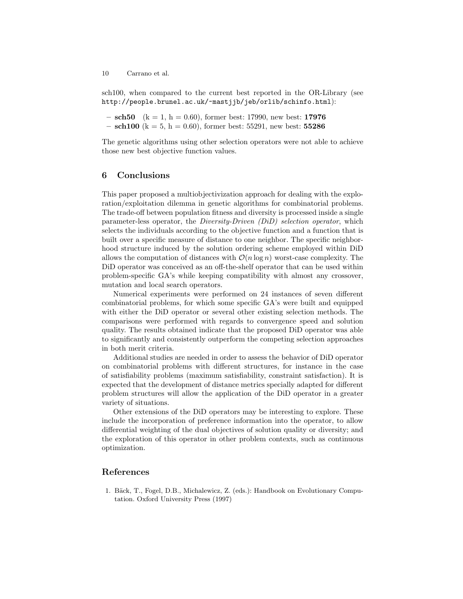sch100, when compared to the current best reported in the OR-Library (see http://people.brunel.ac.uk/~mastjjb/jeb/orlib/schinfo.html):

 $-$  sch50 (k = 1, h = 0.60), former best: 17990, new best: 17976

 $-$  sch100 (k = 5, h = 0.60), former best: 55291, new best: 55286

The genetic algorithms using other selection operators were not able to achieve those new best objective function values.

## 6 Conclusions

This paper proposed a multiobjectivization approach for dealing with the exploration/exploitation dilemma in genetic algorithms for combinatorial problems. The trade-off between population fitness and diversity is processed inside a single parameter-less operator, the Diversity-Driven (DiD) selection operator, which selects the individuals according to the objective function and a function that is built over a specific measure of distance to one neighbor. The specific neighborhood structure induced by the solution ordering scheme employed within DiD allows the computation of distances with  $\mathcal{O}(n \log n)$  worst-case complexity. The DiD operator was conceived as an off-the-shelf operator that can be used within problem-specific GA's while keeping compatibility with almost any crossover, mutation and local search operators.

Numerical experiments were performed on 24 instances of seven different combinatorial problems, for which some specific GA's were built and equipped with either the DiD operator or several other existing selection methods. The comparisons were performed with regards to convergence speed and solution quality. The results obtained indicate that the proposed DiD operator was able to significantly and consistently outperform the competing selection approaches in both merit criteria.

Additional studies are needed in order to assess the behavior of DiD operator on combinatorial problems with different structures, for instance in the case of satisfiability problems (maximum satisfiability, constraint satisfaction). It is expected that the development of distance metrics specially adapted for different problem structures will allow the application of the DiD operator in a greater variety of situations.

Other extensions of the DiD operators may be interesting to explore. These include the incorporation of preference information into the operator, to allow differential weighting of the dual objectives of solution quality or diversity; and the exploration of this operator in other problem contexts, such as continuous optimization.

# References

1. Bäck, T., Fogel, D.B., Michalewicz, Z. (eds.): Handbook on Evolutionary Computation. Oxford University Press (1997)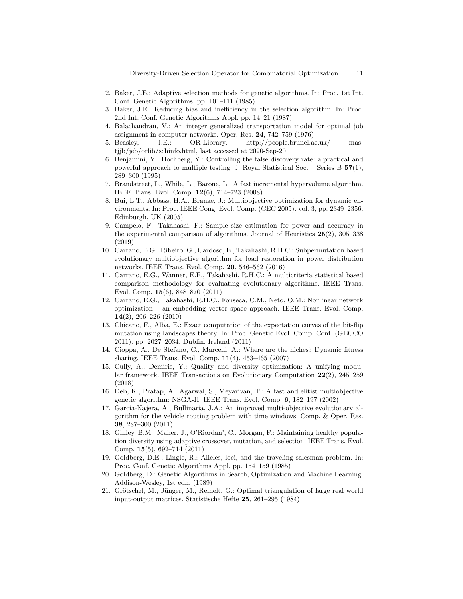Diversity-Driven Selection Operator for Combinatorial Optimization 11

- 2. Baker, J.E.: Adaptive selection methods for genetic algorithms. In: Proc. 1st Int. Conf. Genetic Algorithms. pp. 101–111 (1985)
- 3. Baker, J.E.: Reducing bias and inefficiency in the selection algorithm. In: Proc. 2nd Int. Conf. Genetic Algorithms Appl. pp. 14–21 (1987)
- 4. Balachandran, V.: An integer generalized transportation model for optimal job assignment in computer networks. Oper. Res. 24, 742–759 (1976)
- 5. Beasley, J.E.: OR-Library. http://people.brunel.ac.uk/ mastjjb/jeb/orlib/schinfo.html, last accessed at 2020-Sep-20
- 6. Benjamini, Y., Hochberg, Y.: Controlling the false discovery rate: a practical and powerful approach to multiple testing. J. Royal Statistical Soc. – Series B  $57(1)$ , 289–300 (1995)
- 7. Brandstreet, L., While, L., Barone, L.: A fast incremental hypervolume algorithm. IEEE Trans. Evol. Comp. 12(6), 714–723 (2008)
- 8. Bui, L.T., Abbass, H.A., Branke, J.: Multiobjective optimization for dynamic environments. In: Proc. IEEE Cong. Evol. Comp. (CEC 2005). vol. 3, pp. 2349–2356. Edinburgh, UK (2005)
- 9. Campelo, F., Takahashi, F.: Sample size estimation for power and accuracy in the experimental comparison of algorithms. Journal of Heuristics 25(2), 305–338 (2019)
- 10. Carrano, E.G., Ribeiro, G., Cardoso, E., Takahashi, R.H.C.: Subpermutation based evolutionary multiobjective algorithm for load restoration in power distribution networks. IEEE Trans. Evol. Comp. 20, 546–562 (2016)
- 11. Carrano, E.G., Wanner, E.F., Takahashi, R.H.C.: A multicriteria statistical based comparison methodology for evaluating evolutionary algorithms. IEEE Trans. Evol. Comp. 15(6), 848–870 (2011)
- 12. Carrano, E.G., Takahashi, R.H.C., Fonseca, C.M., Neto, O.M.: Nonlinear network optimization – an embedding vector space approach. IEEE Trans. Evol. Comp. 14(2), 206–226 (2010)
- 13. Chicano, F., Alba, E.: Exact computation of the expectation curves of the bit-flip mutation using landscapes theory. In: Proc. Genetic Evol. Comp. Conf. (GECCO 2011). pp. 2027–2034. Dublin, Ireland (2011)
- 14. Cioppa, A., De Stefano, C., Marcelli, A.: Where are the niches? Dynamic fitness sharing. IEEE Trans. Evol. Comp. 11(4), 453–465 (2007)
- 15. Cully, A., Demiris, Y.: Quality and diversity optimization: A unifying modular framework. IEEE Transactions on Evolutionary Computation 22(2), 245–259 (2018)
- 16. Deb, K., Pratap, A., Agarwal, S., Meyarivan, T.: A fast and elitist multiobjective genetic algorithm: NSGA-II. IEEE Trans. Evol. Comp. 6, 182–197 (2002)
- 17. Garcia-Najera, A., Bullinaria, J.A.: An improved multi-objective evolutionary algorithm for the vehicle routing problem with time windows. Comp. & Oper. Res. 38, 287–300 (2011)
- 18. Ginley, B.M., Maher, J., O'Riordan', C., Morgan, F.: Maintaining healthy population diversity using adaptive crossover, mutation, and selection. IEEE Trans. Evol. Comp. 15(5), 692–714 (2011)
- 19. Goldberg, D.E., Lingle, R.: Alleles, loci, and the traveling salesman problem. In: Proc. Conf. Genetic Algorithms Appl. pp. 154–159 (1985)
- 20. Goldberg, D.: Genetic Algorithms in Search, Optimization and Machine Learning. Addison-Wesley, 1st edn. (1989)
- 21. Grötschel, M., Jünger, M., Reinelt, G.: Optimal triangulation of large real world input-output matrices. Statistische Hefte 25, 261–295 (1984)